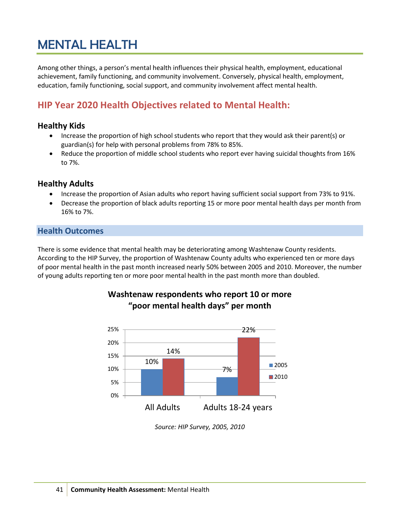# MENTAL HEALTH

Among other things, a person's mental health influences their physical health, employment, educational achievement, family functioning, and community involvement. Conversely, physical health, employment, education, family functioning, social support, and community involvement affect mental health.

# **HIP Year 2020 Health Objectives related to Mental Health:**

## **Healthy Kids**

- Increase the proportion of high school students who report that they would ask their parent(s) or guardian(s) for help with personal problems from 78% to 85%.
- Reduce the proportion of middle school students who report ever having suicidal thoughts from 16% to 7%.

## **Healthy Adults**

- Increase the proportion of Asian adults who report having sufficient social support from 73% to 91%.
- Decrease the proportion of black adults reporting 15 or more poor mental health days per month from 16% to 7%.

### **Health Outcomes**

There is some evidence that mental health may be deteriorating among Washtenaw County residents. According to the HIP Survey, the proportion of Washtenaw County adults who experienced ten or more days of poor mental health in the past month increased nearly 50% between 2005 and 2010. Moreover, the number of young adults reporting ten or more poor mental health in the past month more than doubled.



# **Washtenaw respondents who report 10 or more "poor mental health days" per month**

*Source: HIP Survey, 2005, 2010*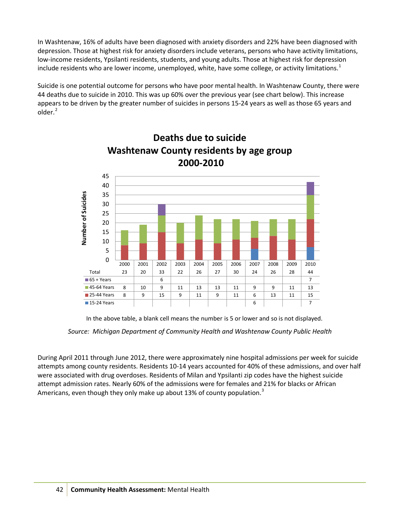In Washtenaw, 16% of adults have been diagnosed with anxiety disorders and 22% have been diagnosed with depression. Those at highest risk for anxiety disorders include veterans, persons who have activity limitations, low-income residents, Ypsilanti residents, students, and young adults. Those at highest risk for depression include residents who are lower income, unemployed, white, have some college, or activity limitations.<sup>[1](#page-3-0)</sup>

Suicide is one potential outcome for persons who have poor mental health. In Washtenaw County, there were 44 deaths due to suicide in 2010. This was up 60% over the previous year (see chart below). This increase appears to be driven by the greater number of suicides in persons 15-24 years as well as those 65 years and older.<sup>[2](#page-3-1)</sup>



**Deaths due to suicide Washtenaw County residents by age group**

In the above table, a blank cell means the number is 5 or lower and so is not displayed.

*Source: Michigan Department of Community Health and Washtenaw County Public Health*

During April 2011 through June 2012, there were approximately nine hospital admissions per week for suicide attempts among county residents. Residents 10-14 years accounted for 40% of these admissions, and over half were associated with drug overdoses. Residents of Milan and Ypsilanti zip codes have the highest suicide attempt admission rates. Nearly 60% of the admissions were for females and 21% for blacks or African Americans, even though they only make up about 1[3](#page-3-2)% of county population.<sup>3</sup>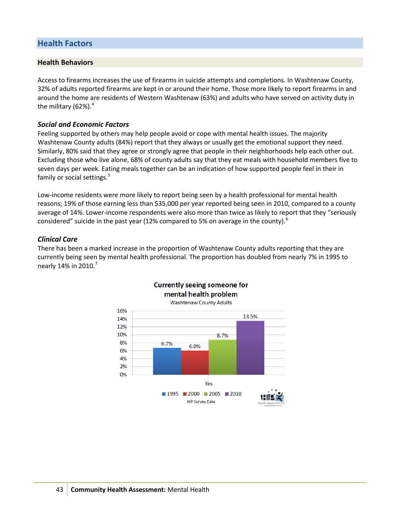## **Health Factors**

#### **Health Behaviors**

Access to firearms increases the use of firearms in suicide attempts and completions. In Washtenaw County, 32% of adults reported firearms are kept in or around their home. Those more likely to report firearms in and around the home are residents of Western Washtenaw (63%) and adults who have served on activity duty in the military  $(62\%)$ .<sup>[4](#page-3-3)</sup>

#### *Social and Economic Factors*

Feeling supported by others may help people avoid or cope with mental health issues. The majority Washtenaw County adults (84%) report that they always or usually get the emotional support they need. Similarly, 80% said that they agree or strongly agree that people in their neighborhoods help each other out. Excluding those who live alone, 68% of county adults say that they eat meals with household members five to seven days per week. Eating meals together can be an indication of how supported people feel in their in family or social settings.<sup>[5](#page-3-4)</sup>

Low-income residents were more likely to report being seen by a health professional for mental health reasons; 19% of those earning less than \$35,000 per year reported being seen in 2010, compared to a county average of 14%. Lower-income respondents were also more than twice as likely to report that they "seriously considered" suicide in the past year (12% compared to 5% on average in the county).<sup>[6](#page-3-5)</sup>

#### *Clinical Care*

There has been a marked increase in the proportion of Washtenaw County adults reporting that they are currently being seen by mental health professional. The proportion has doubled from nearly 7% in 1995 to nearly 14% in 2010.<sup>[7](#page-3-6)</sup>



# **Currently seeing someone for** mental health problem